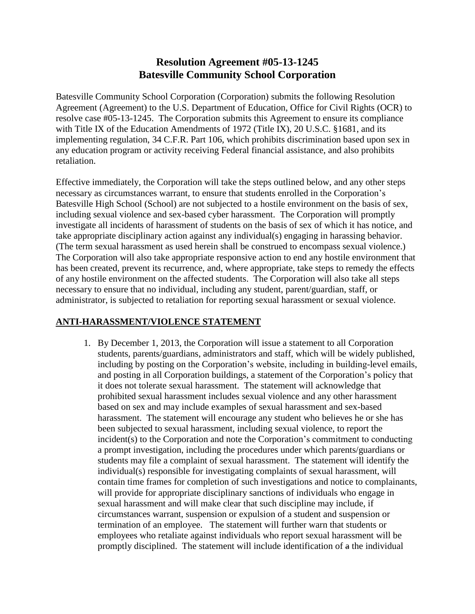# **Resolution Agreement #05-13-1245 Batesville Community School Corporation**

Batesville Community School Corporation (Corporation) submits the following Resolution Agreement (Agreement) to the U.S. Department of Education, Office for Civil Rights (OCR) to resolve case #05-13-1245. The Corporation submits this Agreement to ensure its compliance with Title IX of the Education Amendments of 1972 (Title IX), 20 U.S.C. §1681, and its implementing regulation, 34 C.F.R. Part 106, which prohibits discrimination based upon sex in any education program or activity receiving Federal financial assistance, and also prohibits retaliation.

Effective immediately, the Corporation will take the steps outlined below, and any other steps necessary as circumstances warrant, to ensure that students enrolled in the Corporation's Batesville High School (School) are not subjected to a hostile environment on the basis of sex, including sexual violence and sex-based cyber harassment. The Corporation will promptly investigate all incidents of harassment of students on the basis of sex of which it has notice, and take appropriate disciplinary action against any individual(s) engaging in harassing behavior. (The term sexual harassment as used herein shall be construed to encompass sexual violence.) The Corporation will also take appropriate responsive action to end any hostile environment that has been created, prevent its recurrence, and, where appropriate, take steps to remedy the effects of any hostile environment on the affected students. The Corporation will also take all steps necessary to ensure that no individual, including any student, parent/guardian, staff, or administrator, is subjected to retaliation for reporting sexual harassment or sexual violence.

# **ANTI-HARASSMENT/VIOLENCE STATEMENT**

1. By December 1, 2013, the Corporation will issue a statement to all Corporation students, parents/guardians, administrators and staff, which will be widely published, including by posting on the Corporation's website, including in building-level emails, and posting in all Corporation buildings, a statement of the Corporation's policy that it does not tolerate sexual harassment. The statement will acknowledge that prohibited sexual harassment includes sexual violence and any other harassment based on sex and may include examples of sexual harassment and sex-based harassment. The statement will encourage any student who believes he or she has been subjected to sexual harassment, including sexual violence, to report the incident(s) to the Corporation and note the Corporation's commitment to conducting a prompt investigation, including the procedures under which parents/guardians or students may file a complaint of sexual harassment. The statement will identify the individual(s) responsible for investigating complaints of sexual harassment, will contain time frames for completion of such investigations and notice to complainants, will provide for appropriate disciplinary sanctions of individuals who engage in sexual harassment and will make clear that such discipline may include, if circumstances warrant, suspension or expulsion of a student and suspension or termination of an employee. The statement will further warn that students or employees who retaliate against individuals who report sexual harassment will be promptly disciplined. The statement will include identification of a the individual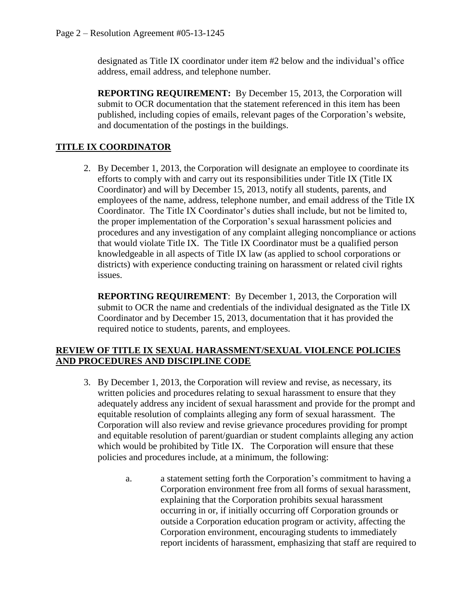designated as Title IX coordinator under item #2 below and the individual's office address, email address, and telephone number.

**REPORTING REQUIREMENT:** By December 15, 2013, the Corporation will submit to OCR documentation that the statement referenced in this item has been published, including copies of emails, relevant pages of the Corporation's website, and documentation of the postings in the buildings.

# **TITLE IX COORDINATOR**

2. By December 1, 2013, the Corporation will designate an employee to coordinate its efforts to comply with and carry out its responsibilities under Title IX (Title IX Coordinator) and will by December 15, 2013, notify all students, parents, and employees of the name, address, telephone number, and email address of the Title IX Coordinator. The Title IX Coordinator's duties shall include, but not be limited to, the proper implementation of the Corporation's sexual harassment policies and procedures and any investigation of any complaint alleging noncompliance or actions that would violate Title IX. The Title IX Coordinator must be a qualified person knowledgeable in all aspects of Title IX law (as applied to school corporations or districts) with experience conducting training on harassment or related civil rights issues.

**REPORTING REQUIREMENT**:By December 1, 2013, the Corporation will submit to OCR the name and credentials of the individual designated as the Title IX Coordinator and by December 15, 2013, documentation that it has provided the required notice to students, parents, and employees.

#### **REVIEW OF TITLE IX SEXUAL HARASSMENT/SEXUAL VIOLENCE POLICIES AND PROCEDURES AND DISCIPLINE CODE**

- 3. By December 1, 2013, the Corporation will review and revise, as necessary, its written policies and procedures relating to sexual harassment to ensure that they adequately address any incident of sexual harassment and provide for the prompt and equitable resolution of complaints alleging any form of sexual harassment. The Corporation will also review and revise grievance procedures providing for prompt and equitable resolution of parent/guardian or student complaints alleging any action which would be prohibited by Title IX. The Corporation will ensure that these policies and procedures include, at a minimum, the following:
	- a. a statement setting forth the Corporation's commitment to having a Corporation environment free from all forms of sexual harassment, explaining that the Corporation prohibits sexual harassment occurring in or, if initially occurring off Corporation grounds or outside a Corporation education program or activity, affecting the Corporation environment, encouraging students to immediately report incidents of harassment, emphasizing that staff are required to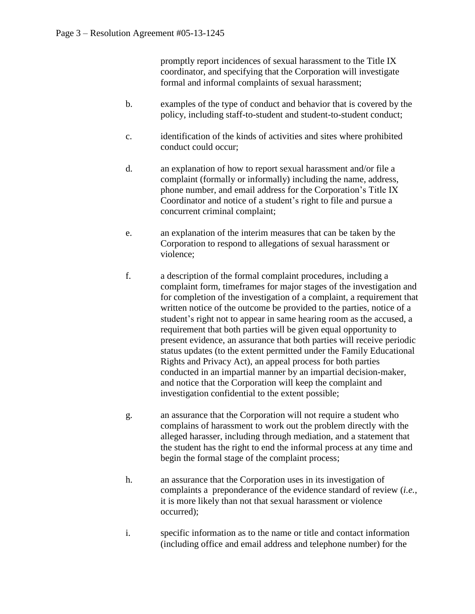promptly report incidences of sexual harassment to the Title IX coordinator, and specifying that the Corporation will investigate formal and informal complaints of sexual harassment;

- b. examples of the type of conduct and behavior that is covered by the policy, including staff-to-student and student-to-student conduct;
- c. identification of the kinds of activities and sites where prohibited conduct could occur;
- d. an explanation of how to report sexual harassment and/or file a complaint (formally or informally) including the name, address, phone number, and email address for the Corporation's Title IX Coordinator and notice of a student's right to file and pursue a concurrent criminal complaint;
- e. an explanation of the interim measures that can be taken by the Corporation to respond to allegations of sexual harassment or violence;
- f. a description of the formal complaint procedures, including a complaint form, timeframes for major stages of the investigation and for completion of the investigation of a complaint, a requirement that written notice of the outcome be provided to the parties, notice of a student's right not to appear in same hearing room as the accused, a requirement that both parties will be given equal opportunity to present evidence, an assurance that both parties will receive periodic status updates (to the extent permitted under the Family Educational Rights and Privacy Act), an appeal process for both parties conducted in an impartial manner by an impartial decision-maker, and notice that the Corporation will keep the complaint and investigation confidential to the extent possible;
- g. an assurance that the Corporation will not require a student who complains of harassment to work out the problem directly with the alleged harasser, including through mediation, and a statement that the student has the right to end the informal process at any time and begin the formal stage of the complaint process;
- h. an assurance that the Corporation uses in its investigation of complaints a preponderance of the evidence standard of review (*i.e.*, it is more likely than not that sexual harassment or violence occurred);
- i. specific information as to the name or title and contact information (including office and email address and telephone number) for the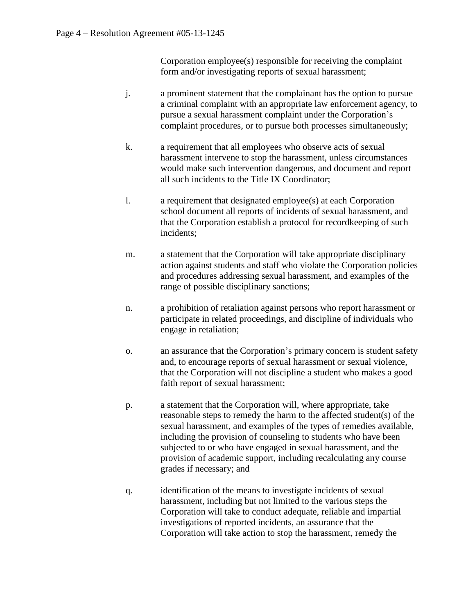Corporation employee(s) responsible for receiving the complaint form and/or investigating reports of sexual harassment;

- j. a prominent statement that the complainant has the option to pursue a criminal complaint with an appropriate law enforcement agency, to pursue a sexual harassment complaint under the Corporation's complaint procedures, or to pursue both processes simultaneously;
- k. a requirement that all employees who observe acts of sexual harassment intervene to stop the harassment, unless circumstances would make such intervention dangerous, and document and report all such incidents to the Title IX Coordinator;
- l. a requirement that designated employee(s) at each Corporation school document all reports of incidents of sexual harassment, and that the Corporation establish a protocol for recordkeeping of such incidents;
- m. a statement that the Corporation will take appropriate disciplinary action against students and staff who violate the Corporation policies and procedures addressing sexual harassment, and examples of the range of possible disciplinary sanctions;
- n. a prohibition of retaliation against persons who report harassment or participate in related proceedings, and discipline of individuals who engage in retaliation;
- o. an assurance that the Corporation's primary concern is student safety and, to encourage reports of sexual harassment or sexual violence, that the Corporation will not discipline a student who makes a good faith report of sexual harassment;
- p. a statement that the Corporation will, where appropriate, take reasonable steps to remedy the harm to the affected student(s) of the sexual harassment, and examples of the types of remedies available, including the provision of counseling to students who have been subjected to or who have engaged in sexual harassment, and the provision of academic support, including recalculating any course grades if necessary; and
- q. identification of the means to investigate incidents of sexual harassment, including but not limited to the various steps the Corporation will take to conduct adequate, reliable and impartial investigations of reported incidents, an assurance that the Corporation will take action to stop the harassment, remedy the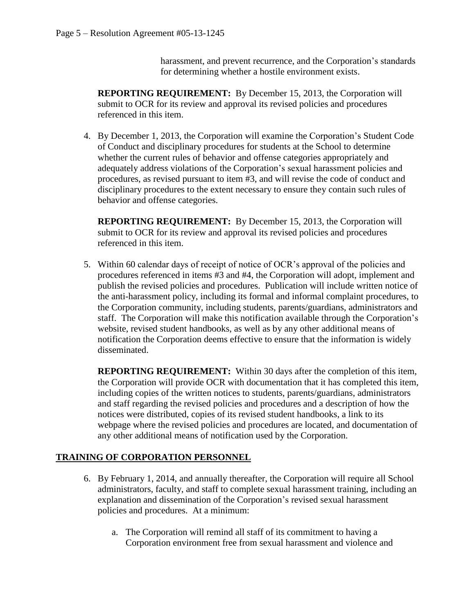harassment, and prevent recurrence, and the Corporation's standards for determining whether a hostile environment exists.

**REPORTING REQUIREMENT:** By December 15, 2013, the Corporation will submit to OCR for its review and approval its revised policies and procedures referenced in this item.

4. By December 1, 2013, the Corporation will examine the Corporation's Student Code of Conduct and disciplinary procedures for students at the School to determine whether the current rules of behavior and offense categories appropriately and adequately address violations of the Corporation's sexual harassment policies and procedures, as revised pursuant to item #3, and will revise the code of conduct and disciplinary procedures to the extent necessary to ensure they contain such rules of behavior and offense categories.

**REPORTING REQUIREMENT:** By December 15, 2013, the Corporation will submit to OCR for its review and approval its revised policies and procedures referenced in this item.

5. Within 60 calendar days of receipt of notice of OCR's approval of the policies and procedures referenced in items #3 and #4, the Corporation will adopt, implement and publish the revised policies and procedures. Publication will include written notice of the anti-harassment policy, including its formal and informal complaint procedures, to the Corporation community, including students, parents/guardians, administrators and staff. The Corporation will make this notification available through the Corporation's website, revised student handbooks, as well as by any other additional means of notification the Corporation deems effective to ensure that the information is widely disseminated.

**REPORTING REQUIREMENT:** Within 30 days after the completion of this item, the Corporation will provide OCR with documentation that it has completed this item, including copies of the written notices to students, parents/guardians, administrators and staff regarding the revised policies and procedures and a description of how the notices were distributed, copies of its revised student handbooks, a link to its webpage where the revised policies and procedures are located, and documentation of any other additional means of notification used by the Corporation.

# **TRAINING OF CORPORATION PERSONNEL**

- 6. By February 1, 2014, and annually thereafter, the Corporation will require all School administrators, faculty, and staff to complete sexual harassment training, including an explanation and dissemination of the Corporation's revised sexual harassment policies and procedures. At a minimum:
	- a. The Corporation will remind all staff of its commitment to having a Corporation environment free from sexual harassment and violence and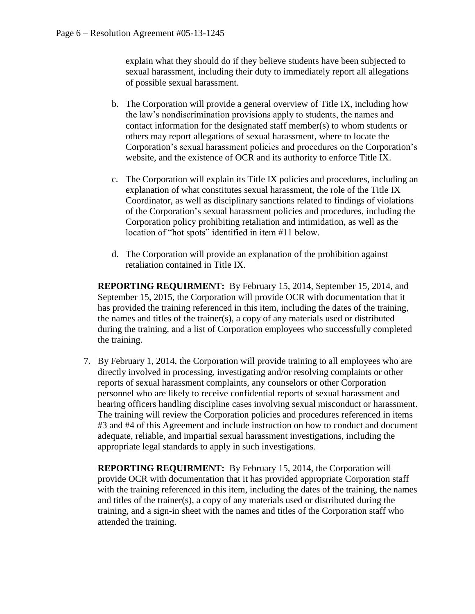explain what they should do if they believe students have been subjected to sexual harassment, including their duty to immediately report all allegations of possible sexual harassment.

- b. The Corporation will provide a general overview of Title IX, including how the law's nondiscrimination provisions apply to students, the names and contact information for the designated staff member(s) to whom students or others may report allegations of sexual harassment, where to locate the Corporation's sexual harassment policies and procedures on the Corporation's website, and the existence of OCR and its authority to enforce Title IX.
- c. The Corporation will explain its Title IX policies and procedures, including an explanation of what constitutes sexual harassment, the role of the Title IX Coordinator, as well as disciplinary sanctions related to findings of violations of the Corporation's sexual harassment policies and procedures, including the Corporation policy prohibiting retaliation and intimidation, as well as the location of "hot spots" identified in item #11 below.
- d. The Corporation will provide an explanation of the prohibition against retaliation contained in Title IX.

**REPORTING REQUIRMENT:** By February 15, 2014, September 15, 2014, and September 15, 2015, the Corporation will provide OCR with documentation that it has provided the training referenced in this item, including the dates of the training, the names and titles of the trainer(s), a copy of any materials used or distributed during the training, and a list of Corporation employees who successfully completed the training.

7. By February 1, 2014, the Corporation will provide training to all employees who are directly involved in processing, investigating and/or resolving complaints or other reports of sexual harassment complaints, any counselors or other Corporation personnel who are likely to receive confidential reports of sexual harassment and hearing officers handling discipline cases involving sexual misconduct or harassment. The training will review the Corporation policies and procedures referenced in items #3 and #4 of this Agreement and include instruction on how to conduct and document adequate, reliable, and impartial sexual harassment investigations, including the appropriate legal standards to apply in such investigations.

**REPORTING REQUIRMENT:** By February 15, 2014, the Corporation will provide OCR with documentation that it has provided appropriate Corporation staff with the training referenced in this item, including the dates of the training, the names and titles of the trainer(s), a copy of any materials used or distributed during the training, and a sign-in sheet with the names and titles of the Corporation staff who attended the training.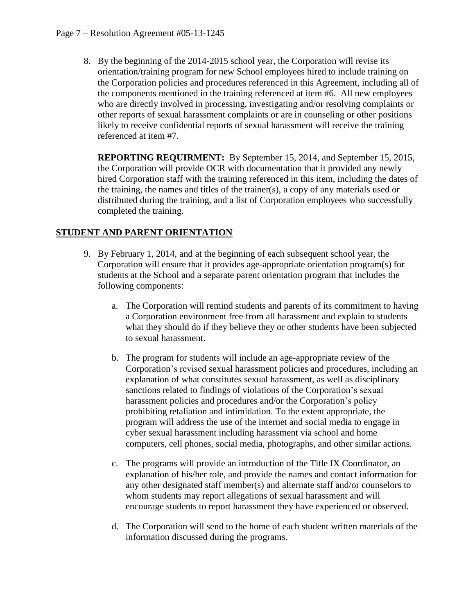8. By the beginning of the 2014-2015 school year, the Corporation will revise its orientation/training program for new School employees hired to include training on the Corporation policies and procedures referenced in this Agreement, including all of the components mentioned in the training referenced at item #6. All new employees who are directly involved in processing, investigating and/or resolving complaints or other reports of sexual harassment complaints or are in counseling or other positions likely to receive confidential reports of sexual harassment will receive the training referenced at item #7.

**REPORTING REQUIRMENT:** By September 15, 2014, and September 15, 2015, the Corporation will provide OCR with documentation that it provided any newly hired Corporation staff with the training referenced in this item, including the dates of the training, the names and titles of the trainer(s), a copy of any materials used or distributed during the training, and a list of Corporation employees who successfully completed the training.

# **STUDENT AND PARENT ORIENTATION**

- 9. By February 1, 2014, and at the beginning of each subsequent school year, the Corporation will ensure that it provides age-appropriate orientation program(s) for students at the School and a separate parent orientation program that includes the following components:
	- a. The Corporation will remind students and parents of its commitment to having a Corporation environment free from all harassment and explain to students what they should do if they believe they or other students have been subjected to sexual harassment.
	- b. The program for students will include an age-appropriate review of the Corporation's revised sexual harassment policies and procedures, including an explanation of what constitutes sexual harassment, as well as disciplinary sanctions related to findings of violations of the Corporation's sexual harassment policies and procedures and/or the Corporation's policy prohibiting retaliation and intimidation. To the extent appropriate, the program will address the use of the internet and social media to engage in cyber sexual harassment including harassment via school and home computers, cell phones, social media, photographs, and other similar actions.
	- c. The programs will provide an introduction of the Title IX Coordinator, an explanation of his/her role, and provide the names and contact information for any other designated staff member(s) and alternate staff and/or counselors to whom students may report allegations of sexual harassment and will encourage students to report harassment they have experienced or observed.
	- d. The Corporation will send to the home of each student written materials of the information discussed during the programs.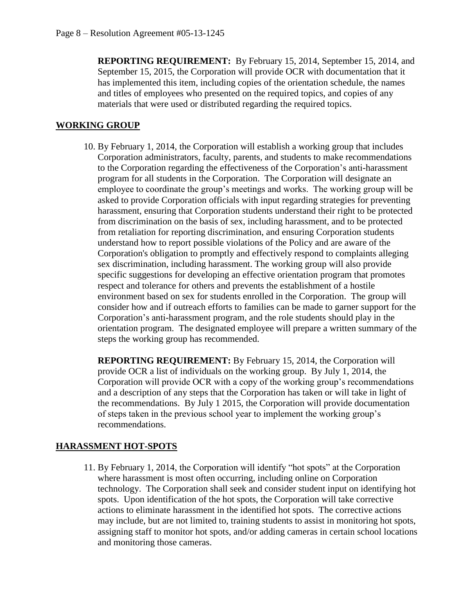**REPORTING REQUIREMENT:** By February 15, 2014, September 15, 2014, and September 15, 2015, the Corporation will provide OCR with documentation that it has implemented this item, including copies of the orientation schedule, the names and titles of employees who presented on the required topics, and copies of any materials that were used or distributed regarding the required topics.

# **WORKING GROUP**

10. By February 1, 2014, the Corporation will establish a working group that includes Corporation administrators, faculty, parents, and students to make recommendations to the Corporation regarding the effectiveness of the Corporation's anti-harassment program for all students in the Corporation. The Corporation will designate an employee to coordinate the group's meetings and works. The working group will be asked to provide Corporation officials with input regarding strategies for preventing harassment, ensuring that Corporation students understand their right to be protected from discrimination on the basis of sex, including harassment, and to be protected from retaliation for reporting discrimination, and ensuring Corporation students understand how to report possible violations of the Policy and are aware of the Corporation's obligation to promptly and effectively respond to complaints alleging sex discrimination, including harassment. The working group will also provide specific suggestions for developing an effective orientation program that promotes respect and tolerance for others and prevents the establishment of a hostile environment based on sex for students enrolled in the Corporation. The group will consider how and if outreach efforts to families can be made to garner support for the Corporation's anti-harassment program, and the role students should play in the orientation program. The designated employee will prepare a written summary of the steps the working group has recommended.

**REPORTING REQUIREMENT:** By February 15, 2014, the Corporation will provide OCR a list of individuals on the working group. By July 1, 2014, the Corporation will provide OCR with a copy of the working group's recommendations and a description of any steps that the Corporation has taken or will take in light of the recommendations. By July 1 2015, the Corporation will provide documentation of steps taken in the previous school year to implement the working group's recommendations.

# **HARASSMENT HOT-SPOTS**

11. By February 1, 2014, the Corporation will identify "hot spots" at the Corporation where harassment is most often occurring, including online on Corporation technology. The Corporation shall seek and consider student input on identifying hot spots. Upon identification of the hot spots, the Corporation will take corrective actions to eliminate harassment in the identified hot spots. The corrective actions may include, but are not limited to, training students to assist in monitoring hot spots, assigning staff to monitor hot spots, and/or adding cameras in certain school locations and monitoring those cameras.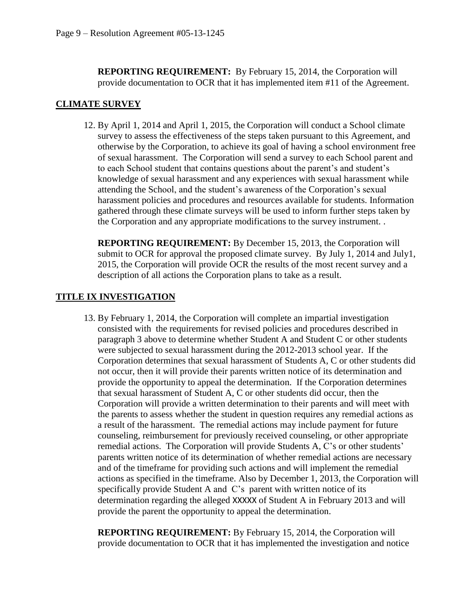**REPORTING REQUIREMENT:** By February 15, 2014, the Corporation will provide documentation to OCR that it has implemented item #11 of the Agreement.

# **CLIMATE SURVEY**

12. By April 1, 2014 and April 1, 2015, the Corporation will conduct a School climate survey to assess the effectiveness of the steps taken pursuant to this Agreement, and otherwise by the Corporation, to achieve its goal of having a school environment free of sexual harassment. The Corporation will send a survey to each School parent and to each School student that contains questions about the parent's and student's knowledge of sexual harassment and any experiences with sexual harassment while attending the School, and the student's awareness of the Corporation's sexual harassment policies and procedures and resources available for students. Information gathered through these climate surveys will be used to inform further steps taken by the Corporation and any appropriate modifications to the survey instrument. .

**REPORTING REQUIREMENT:** By December 15, 2013, the Corporation will submit to OCR for approval the proposed climate survey. By July 1, 2014 and July1, 2015, the Corporation will provide OCR the results of the most recent survey and a description of all actions the Corporation plans to take as a result.

# **TITLE IX INVESTIGATION**

13. By February 1, 2014, the Corporation will complete an impartial investigation consisted with the requirements for revised policies and procedures described in paragraph 3 above to determine whether Student A and Student C or other students were subjected to sexual harassment during the 2012-2013 school year. If the Corporation determines that sexual harassment of Students A, C or other students did not occur, then it will provide their parents written notice of its determination and provide the opportunity to appeal the determination. If the Corporation determines that sexual harassment of Student A, C or other students did occur, then the Corporation will provide a written determination to their parents and will meet with the parents to assess whether the student in question requires any remedial actions as a result of the harassment. The remedial actions may include payment for future counseling, reimbursement for previously received counseling, or other appropriate remedial actions. The Corporation will provide Students A, C's or other students' parents written notice of its determination of whether remedial actions are necessary and of the timeframe for providing such actions and will implement the remedial actions as specified in the timeframe. Also by December 1, 2013, the Corporation will specifically provide Student A and C's parent with written notice of its determination regarding the alleged XXXXX of Student A in February 2013 and will provide the parent the opportunity to appeal the determination.

**REPORTING REQUIREMENT:** By February 15, 2014, the Corporation will provide documentation to OCR that it has implemented the investigation and notice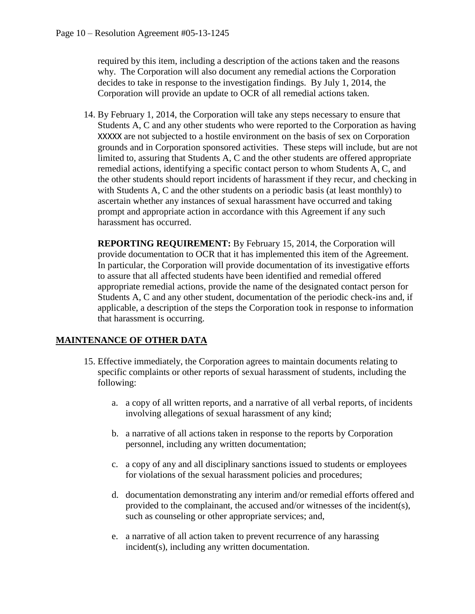required by this item, including a description of the actions taken and the reasons why. The Corporation will also document any remedial actions the Corporation decides to take in response to the investigation findings. By July 1, 2014, the Corporation will provide an update to OCR of all remedial actions taken.

14. By February 1, 2014, the Corporation will take any steps necessary to ensure that Students A, C and any other students who were reported to the Corporation as having XXXXX are not subjected to a hostile environment on the basis of sex on Corporation grounds and in Corporation sponsored activities. These steps will include, but are not limited to, assuring that Students A, C and the other students are offered appropriate remedial actions, identifying a specific contact person to whom Students A, C, and the other students should report incidents of harassment if they recur, and checking in with Students A, C and the other students on a periodic basis (at least monthly) to ascertain whether any instances of sexual harassment have occurred and taking prompt and appropriate action in accordance with this Agreement if any such harassment has occurred.

**REPORTING REQUIREMENT:** By February 15, 2014, the Corporation will provide documentation to OCR that it has implemented this item of the Agreement. In particular, the Corporation will provide documentation of its investigative efforts to assure that all affected students have been identified and remedial offered appropriate remedial actions, provide the name of the designated contact person for Students A, C and any other student, documentation of the periodic check-ins and, if applicable, a description of the steps the Corporation took in response to information that harassment is occurring.

# **MAINTENANCE OF OTHER DATA**

- 15. Effective immediately, the Corporation agrees to maintain documents relating to specific complaints or other reports of sexual harassment of students, including the following:
	- a. a copy of all written reports, and a narrative of all verbal reports, of incidents involving allegations of sexual harassment of any kind;
	- b. a narrative of all actions taken in response to the reports by Corporation personnel, including any written documentation;
	- c. a copy of any and all disciplinary sanctions issued to students or employees for violations of the sexual harassment policies and procedures;
	- d. documentation demonstrating any interim and/or remedial efforts offered and provided to the complainant, the accused and/or witnesses of the incident(s), such as counseling or other appropriate services; and,
	- e. a narrative of all action taken to prevent recurrence of any harassing incident(s), including any written documentation.